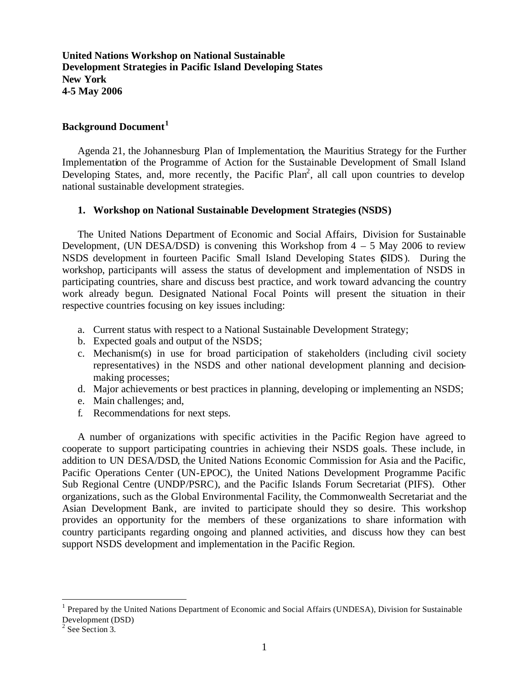**United Nations Workshop on National Sustainable Development Strategies in Pacific Island Developing States New York 4-5 May 2006**

## **Background Document<sup>1</sup>**

Agenda 21, the Johannesburg Plan of Implementation, the Mauritius Strategy for the Further Implementation of the Programme of Action for the Sustainable Development of Small Island Developing States, and, more recently, the Pacific Plan<sup>2</sup>, all call upon countries to develop national sustainable development strategies.

### **1. Workshop on National Sustainable Development Strategies (NSDS)**

The United Nations Department of Economic and Social Affairs, Division for Sustainable Development, (UN DESA/DSD) is convening this Workshop from  $4 - 5$  May 2006 to review NSDS development in fourteen Pacific Small Island Developing States (SIDS). During the workshop, participants will assess the status of development and implementation of NSDS in participating countries, share and discuss best practice, and work toward advancing the country work already begun. Designated National Focal Points will present the situation in their respective countries focusing on key issues including:

- a. Current status with respect to a National Sustainable Development Strategy;
- b. Expected goals and output of the NSDS;
- c. Mechanism(s) in use for broad participation of stakeholders (including civil society representatives) in the NSDS and other national development planning and decisionmaking processes;
- d. Major achievements or best practices in planning, developing or implementing an NSDS;
- e. Main challenges; and,
- f. Recommendations for next steps.

A number of organizations with specific activities in the Pacific Region have agreed to cooperate to support participating countries in achieving their NSDS goals. These include, in addition to UN DESA/DSD, the United Nations Economic Commission for Asia and the Pacific, Pacific Operations Center (UN-EPOC), the United Nations Development Programme Pacific Sub Regional Centre (UNDP/PSRC), and the Pacific Islands Forum Secretariat (PIFS). Other organizations, such as the Global Environmental Facility, the Commonwealth Secretariat and the Asian Development Bank, are invited to participate should they so desire. This workshop provides an opportunity for the members of these organizations to share information with country participants regarding ongoing and planned activities, and discuss how they can best support NSDS development and implementation in the Pacific Region.

 $\overline{a}$ 

<sup>&</sup>lt;sup>1</sup> Prepared by the United Nations Department of Economic and Social Affairs (UNDESA), Division for Sustainable Development (DSD)

<sup>&</sup>lt;sup>2</sup> See Section 3.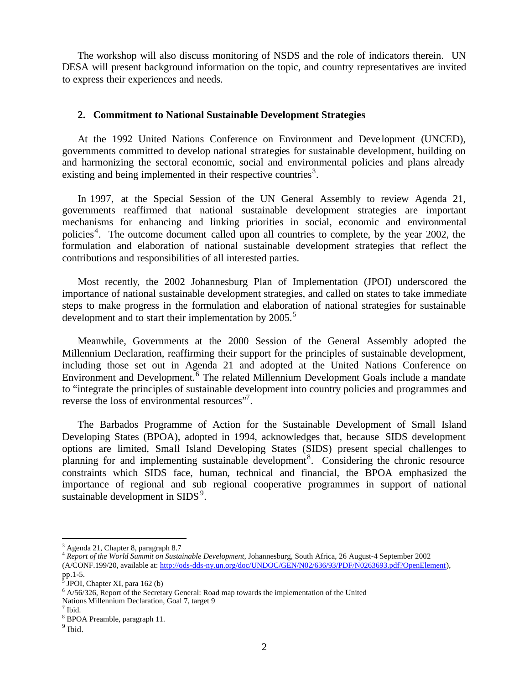The workshop will also discuss monitoring of NSDS and the role of indicators therein. UN DESA will present background information on the topic, and country representatives are invited to express their experiences and needs.

### **2. Commitment to National Sustainable Development Strategies**

At the 1992 United Nations Conference on Environment and Deve lopment (UNCED), governments committed to develop national strategies for sustainable development, building on and harmonizing the sectoral economic, social and environmental policies and plans already existing and being implemented in their respective countries<sup>3</sup>.

In 1997, at the Special Session of the UN General Assembly to review Agenda 21, governments reaffirmed that national sustainable development strategies are important mechanisms for enhancing and linking priorities in social, economic and environmental policies<sup>4</sup>. The outcome document called upon all countries to complete, by the year 2002, the formulation and elaboration of national sustainable development strategies that reflect the contributions and responsibilities of all interested parties.

Most recently, the 2002 Johannesburg Plan of Implementation (JPOI) underscored the importance of national sustainable development strategies, and called on states to take immediate steps to make progress in the formulation and elaboration of national strategies for sustainable development and to start their implementation by 2005.<sup>5</sup>

Meanwhile, Governments at the 2000 Session of the General Assembly adopted the Millennium Declaration, reaffirming their support for the principles of sustainable development, including those set out in Agenda 21 and adopted at the United Nations Conference on Environment and Development.<sup>6</sup> The related Millennium Development Goals include a mandate to "integrate the principles of sustainable development into country policies and programmes and reverse the loss of environmental resources".

The Barbados Programme of Action for the Sustainable Development of Small Island Developing States (BPOA), adopted in 1994, acknowledges that, because SIDS development options are limited, Small Island Developing States (SIDS) present special challenges to planning for and implementing sustainable development<sup>8</sup>. Considering the chronic resource constraints which SIDS face, human, technical and financial, the BPOA emphasized the importance of regional and sub regional cooperative programmes in support of national sustainable development in SIDS $^9$ .

 $\overline{a}$ 

<sup>3</sup> Agenda 21, Chapter 8, paragraph 8.7

<sup>4</sup> *Report of the World Summit on Sustainable Development*, Johannesburg, South Africa, 26 August-4 September 2002 (A/CONF.199/20, available at: http://ods-dds-ny.un.org/doc/UNDOC/GEN/N02/636/93/PDF/N0263693.pdf?OpenElement), pp.1-5<mark>.</mark><br>5 тр∩т

JPOI, Chapter XI, para 162 (b)

<sup>&</sup>lt;sup>6</sup> A/56/326, Report of the Secretary General: Road map towards the implementation of the United

Nations Millennium Declaration, Goal 7, target 9

<sup>7</sup> Ibid.

<sup>8</sup> BPOA Preamble, paragraph 11.

<sup>&</sup>lt;sup>9</sup> Ibid.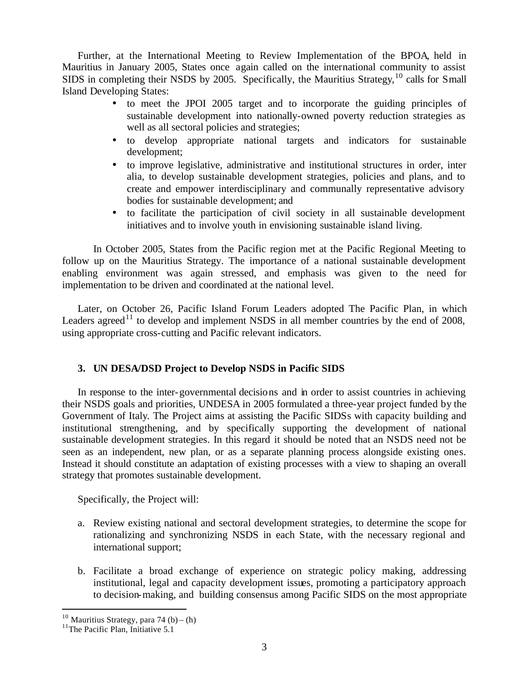Further, at the International Meeting to Review Implementation of the BPOA, held in Mauritius in January 2005, States once again called on the international community to assist SIDS in completing their NSDS by 2005. Specifically, the Mauritius Strategy, <sup>10</sup> calls for Small Island Developing States:

- to meet the JPOI 2005 target and to incorporate the guiding principles of sustainable development into nationally-owned poverty reduction strategies as well as all sectoral policies and strategies;
- to develop appropriate national targets and indicators for sustainable development;
- to improve legislative, administrative and institutional structures in order, inter alia, to develop sustainable development strategies, policies and plans, and to create and empower interdisciplinary and communally representative advisory bodies for sustainable development; and
- to facilitate the participation of civil society in all sustainable development initiatives and to involve youth in envisioning sustainable island living.

In October 2005, States from the Pacific region met at the Pacific Regional Meeting to follow up on the Mauritius Strategy. The importance of a national sustainable development enabling environment was again stressed, and emphasis was given to the need for implementation to be driven and coordinated at the national level.

Later, on October 26, Pacific Island Forum Leaders adopted The Pacific Plan, in which Leaders agreed<sup>11</sup> to develop and implement NSDS in all member countries by the end of 2008, using appropriate cross-cutting and Pacific relevant indicators.

# **3. UN DESA/DSD Project to Develop NSDS in Pacific SIDS**

In response to the inter-governmental decisions and in order to assist countries in achieving their NSDS goals and priorities, UNDESA in 2005 formulated a three-year project funded by the Government of Italy. The Project aims at assisting the Pacific SIDSs with capacity building and institutional strengthening, and by specifically supporting the development of national sustainable development strategies. In this regard it should be noted that an NSDS need not be seen as an independent, new plan, or as a separate planning process alongside existing ones. Instead it should constitute an adaptation of existing processes with a view to shaping an overall strategy that promotes sustainable development.

Specifically, the Project will:

- a. Review existing national and sectoral development strategies, to determine the scope for rationalizing and synchronizing NSDS in each State, with the necessary regional and international support;
- b. Facilitate a broad exchange of experience on strategic policy making, addressing institutional, legal and capacity development issues, promoting a participatory approach to decision-making, and building consensus among Pacific SIDS on the most appropriate

 $\overline{a}$ 

<sup>&</sup>lt;sup>10</sup> Mauritius Strategy, para 74 (b) – (h)

<sup>&</sup>lt;sup>11</sup>The Pacific Plan, Initiative 5.1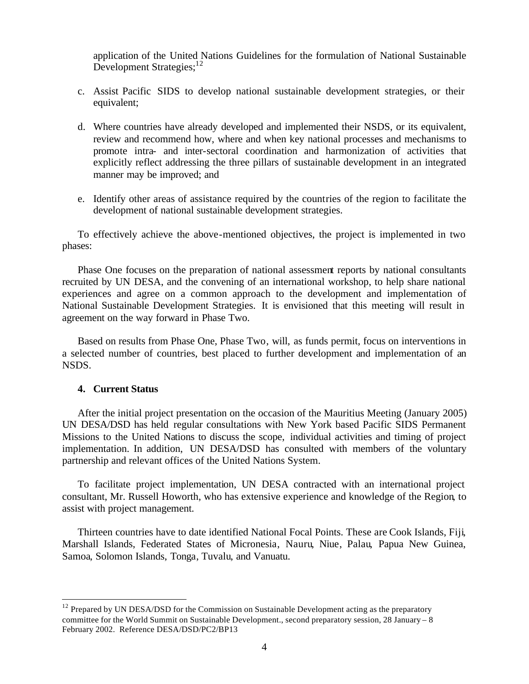application of the United Nations Guidelines for the formulation of National Sustainable Development Strategies;<sup>12</sup>

- c. Assist Pacific SIDS to develop national sustainable development strategies, or their equivalent;
- d. Where countries have already developed and implemented their NSDS, or its equivalent, review and recommend how, where and when key national processes and mechanisms to promote intra- and inter-sectoral coordination and harmonization of activities that explicitly reflect addressing the three pillars of sustainable development in an integrated manner may be improved; and
- e. Identify other areas of assistance required by the countries of the region to facilitate the development of national sustainable development strategies.

To effectively achieve the above-mentioned objectives, the project is implemented in two phases:

Phase One focuses on the preparation of national assessment reports by national consultants recruited by UN DESA, and the convening of an international workshop, to help share national experiences and agree on a common approach to the development and implementation of National Sustainable Development Strategies. It is envisioned that this meeting will result in agreement on the way forward in Phase Two.

Based on results from Phase One, Phase Two, will, as funds permit, focus on interventions in a selected number of countries, best placed to further development and implementation of an NSDS.

## **4. Current Status**

 $\overline{a}$ 

After the initial project presentation on the occasion of the Mauritius Meeting (January 2005) UN DESA/DSD has held regular consultations with New York based Pacific SIDS Permanent Missions to the United Nations to discuss the scope, individual activities and timing of project implementation. In addition, UN DESA/DSD has consulted with members of the voluntary partnership and relevant offices of the United Nations System.

To facilitate project implementation, UN DESA contracted with an international project consultant, Mr. Russell Howorth, who has extensive experience and knowledge of the Region, to assist with project management.

Thirteen countries have to date identified National Focal Points. These are Cook Islands, Fiji, Marshall Islands, Federated States of Micronesia, Nauru, Niue, Palau, Papua New Guinea, Samoa, Solomon Islands, Tonga, Tuvalu, and Vanuatu.

 $12$  Prepared by UN DESA/DSD for the Commission on Sustainable Development acting as the preparatory committee for the World Summit on Sustainable Development., second preparatory session, 28 January – 8 February 2002. Reference DESA/DSD/PC2/BP13